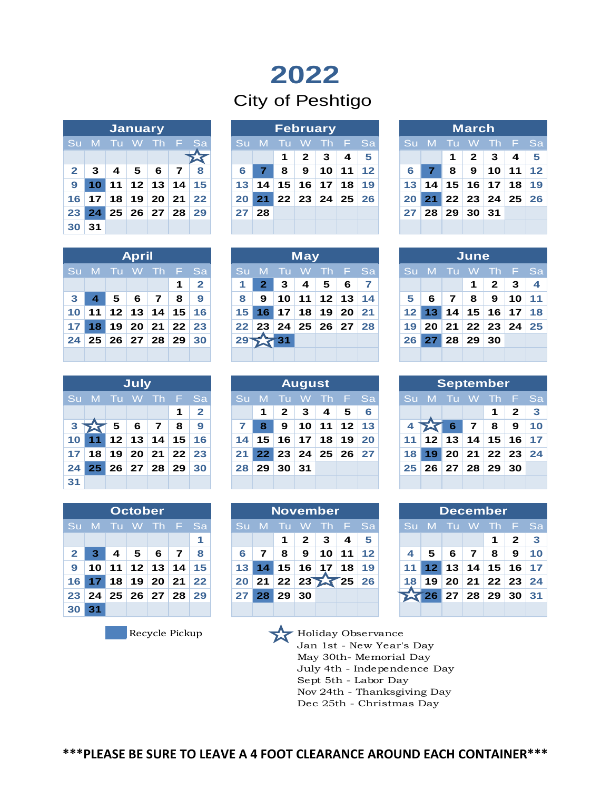# **2022**

## City of Peshtigo

|                | <b>January</b>       |                   |  |  |  |     |  |  |  |  |  |  |  |  |
|----------------|----------------------|-------------------|--|--|--|-----|--|--|--|--|--|--|--|--|
|                | Su M Tu W Th F       |                   |  |  |  | 'Sa |  |  |  |  |  |  |  |  |
|                |                      |                   |  |  |  |     |  |  |  |  |  |  |  |  |
| 2 <sup>1</sup> |                      | 3   4   5   6   7 |  |  |  | - 8 |  |  |  |  |  |  |  |  |
|                | 9 10 11 12 13 14 15  |                   |  |  |  |     |  |  |  |  |  |  |  |  |
|                | 16 17 18 19 20 21 22 |                   |  |  |  |     |  |  |  |  |  |  |  |  |
|                | 23 24 25 26 27 28 29 |                   |  |  |  |     |  |  |  |  |  |  |  |  |
| 30 31          |                      |                   |  |  |  |     |  |  |  |  |  |  |  |  |

|              |       |    | <b>January</b>         |                 |    |         |                 | February |    |     |                 |                 |                |  |                 |    |                 | <b>March</b> |                               |                 |    |
|--------------|-------|----|------------------------|-----------------|----|---------|-----------------|----------|----|-----|-----------------|-----------------|----------------|--|-----------------|----|-----------------|--------------|-------------------------------|-----------------|----|
|              | Su M. | ாய | $\blacktriangleleft W$ |                 |    | Th F Sa | Su M            |          | ாட | - W |                 |                 | Th F Sa        |  | Su M            |    | – Tu            | - W          | Th F Sa                       |                 |    |
|              |       |    |                        |                 |    |         |                 |          |    | 2   | 3               | 4               | 5              |  |                 |    | 1               | $\mathbf{2}$ | 3                             | 4               | 5  |
| $\mathbf{2}$ | 3     | 4  | 5                      | 6               |    | 8       | 6               |          | 8  | 9   | 10              | 11 <sup>1</sup> | 12             |  | 6               |    | 8               | 9            | 10                            | 11              | 12 |
| 9            |       | 11 |                        | 12 13           | 14 | 15      | 13 <sup>°</sup> | 14       | 15 | 16  | 17 <sup>1</sup> | 18              | 19             |  | 13 <sup>1</sup> | 14 | 15 <sub>1</sub> |              | 16 17                         | 18 <sup>1</sup> | 19 |
| 16           | 17    | 18 | 19                     | 20 <sup>1</sup> | 21 | 22      | 20              | 21       |    |     |                 |                 | 22 23 24 25 26 |  | 20 <sup>1</sup> |    |                 |              | $21 \ 22 \ 23 \ 24 \ 25 \ 26$ |                 |    |
| 23 I         | 24    | 25 |                        | 26 27           | 28 | 29      |                 | 28       |    |     |                 |                 |                |  | 27              | 28 | 29              | 30 31        |                               |                 |    |
| 30           | 31    |    |                        |                 |    |         |                 |          |    |     |                 |                 |                |  |                 |    |                 |              |                               |                 |    |

|   | <b>March</b>      |                            |  |                          |  |     |  |  |  |  |  |  |  |  |  |
|---|-------------------|----------------------------|--|--------------------------|--|-----|--|--|--|--|--|--|--|--|--|
|   | Su M Tu W Th F Sa |                            |  |                          |  |     |  |  |  |  |  |  |  |  |  |
|   |                   |                            |  | $1 \mid 2 \mid 3 \mid 4$ |  | - 5 |  |  |  |  |  |  |  |  |  |
| 6 |                   | $7$   8   9   10   11   12 |  |                          |  |     |  |  |  |  |  |  |  |  |  |
|   |                   | 13 14 15 16 17 18 19       |  |                          |  |     |  |  |  |  |  |  |  |  |  |
|   |                   | 20 21 22 23 24 25 26       |  |                          |  |     |  |  |  |  |  |  |  |  |  |
|   |                   | 27   28   29   30   31     |  |                          |  |     |  |  |  |  |  |  |  |  |  |
|   |                   |                            |  |                          |  |     |  |  |  |  |  |  |  |  |  |

| <b>April</b> |                   |  |                                                                              |  |            |  |  |  |  |  |  |  |  |
|--------------|-------------------|--|------------------------------------------------------------------------------|--|------------|--|--|--|--|--|--|--|--|
|              | Su M Tu W Th F Sa |  |                                                                              |  |            |  |  |  |  |  |  |  |  |
|              |                   |  |                                                                              |  | $1 \mid 2$ |  |  |  |  |  |  |  |  |
|              |                   |  | $3$ 4 5 6 7 8 9                                                              |  |            |  |  |  |  |  |  |  |  |
|              |                   |  | $10$   11   12   13   14   15   16                                           |  |            |  |  |  |  |  |  |  |  |
|              |                   |  | 17 18 19 20 21 22 23                                                         |  |            |  |  |  |  |  |  |  |  |
|              |                   |  | $\mid$ 24 $\mid$ 25 $\mid$ 26 $\mid$ 27 $\mid$ 28 $\mid$ 29 $\mid$ 30 $\mid$ |  |            |  |  |  |  |  |  |  |  |
|              |                   |  |                                                                              |  |            |  |  |  |  |  |  |  |  |

| <b>May</b><br>June<br>Th F Sa<br>Su M Tu W<br>Th F Sa<br>'Su M Tu W<br>Su M Tu W<br>5<br>4<br>6<br>1<br>$\mathbf{2}$<br>3<br>$\overline{7}$<br>$\mathbf{2}$<br>11 12 13 14<br>5<br>5<br>8<br>10 <sup>1</sup><br>6<br>7<br>9<br>6<br>9<br>7<br>8<br>$14$ 15 16 17 18<br>15 16 17<br>  18   19   20   21<br>  12   13   14   15   16<br>$12$ 13<br>22 23 24 25 26 27 28<br>19 20 21 22 23 24 25<br>29 27 31<br>$27$ 28 29 30<br>26 |                |  | <b>April</b> |  |  |
|----------------------------------------------------------------------------------------------------------------------------------------------------------------------------------------------------------------------------------------------------------------------------------------------------------------------------------------------------------------------------------------------------------------------------------|----------------|--|--------------|--|--|
|                                                                                                                                                                                                                                                                                                                                                                                                                                  |                |  |              |  |  |
|                                                                                                                                                                                                                                                                                                                                                                                                                                  |                |  |              |  |  |
| 10 11                                                                                                                                                                                                                                                                                                                                                                                                                            | 3 <sup>1</sup> |  |              |  |  |
|                                                                                                                                                                                                                                                                                                                                                                                                                                  |                |  |              |  |  |
| 24   25   26   27   28   29   30                                                                                                                                                                                                                                                                                                                                                                                                 |                |  |              |  |  |
|                                                                                                                                                                                                                                                                                                                                                                                                                                  |                |  |              |  |  |
|                                                                                                                                                                                                                                                                                                                                                                                                                                  |                |  |              |  |  |

| June              |  |  |                          |  |  |  |  |  |  |  |  |  |  |
|-------------------|--|--|--------------------------|--|--|--|--|--|--|--|--|--|--|
| Su M Tu W Th F Sa |  |  |                          |  |  |  |  |  |  |  |  |  |  |
|                   |  |  | $1 \mid 2 \mid 3 \mid 4$ |  |  |  |  |  |  |  |  |  |  |
|                   |  |  | 5 6 7 8 9 10 11          |  |  |  |  |  |  |  |  |  |  |
|                   |  |  | $12$ 13 14 15 16 17 18   |  |  |  |  |  |  |  |  |  |  |
|                   |  |  | 19 20 21 22 23 24 25     |  |  |  |  |  |  |  |  |  |  |
| 26 27 28 29 30    |  |  |                          |  |  |  |  |  |  |  |  |  |  |
|                   |  |  |                          |  |  |  |  |  |  |  |  |  |  |

|    |  | <b>July</b> |                          |             |                |
|----|--|-------------|--------------------------|-------------|----------------|
|    |  |             | Su M Tu W Th F Sa        |             |                |
|    |  |             |                          | $\mathbf 1$ | $\overline{2}$ |
|    |  |             | $3 \times 5   6   7   8$ |             | ∣ 9            |
|    |  |             | 10 11 12 13 14 15 16     |             |                |
|    |  |             | $17$ 18 19 20 21 22 23   |             |                |
|    |  |             | 24 25 26 27 28 29 30     |             |                |
| 31 |  |             |                          |             |                |

|                 | <b>July</b> |       |                 |                 |                 |              |  |                 |                 |              | <b>August</b>   |                 |                                   |    |                 |                 |                 |                 | September                    |    |      |
|-----------------|-------------|-------|-----------------|-----------------|-----------------|--------------|--|-----------------|-----------------|--------------|-----------------|-----------------|-----------------------------------|----|-----------------|-----------------|-----------------|-----------------|------------------------------|----|------|
|                 | Su M        | - Tu- | - W             | $\blacksquare$  | a na s          | - Sa         |  | <b>Su</b>       | - M             | ாப           | W               |                 | Th F Sa                           |    |                 | Su M            | - Tu            | - W             | . Th                         | F. | - Sa |
|                 |             |       |                 |                 | И               | $\mathbf{2}$ |  |                 | 1               | $\mathbf{2}$ | 3               | 4               | 5                                 | 6  |                 |                 |                 |                 |                              | 2  |      |
| 3               |             | 5     | 6               | $\mathbf{z}$    | 8               | 9            |  |                 | 8               | 9            | 10 <sup>1</sup> | 11 <sup>1</sup> | 12 13                             |    |                 |                 | 6               | 7               | 8                            | 9  |      |
| 10 l            | 11          | 12    | 13              | 14              | 15 <sub>1</sub> | 16           |  | 14 <sub>1</sub> | 15              | 16           | 17 <sup>1</sup> | 18              | 19                                | 20 | 11 <sup>1</sup> | 12 <sup>1</sup> | 13              | 14              | 15 <sub>1</sub>              | 16 |      |
| 17 <sub>1</sub> | 18          | 19    | 20 <sup>1</sup> | 21 <sup>1</sup> |                 | $22 \mid 23$ |  | 21              | 22 <sub>1</sub> | 23           |                 | 24 25           | $26 \overline{\smash{\big)}\ 27}$ |    | 18 <sup>1</sup> | 19              | 20 <sub>1</sub> |                 | $21 \mid 22 \mid 23 \mid 24$ |    |      |
| 24 I            | 25          | 26    | 27              | 28 <sup>1</sup> | 29              | 30           |  | 28              | 29              | 30           | 31              |                 |                                   |    | 25 <sub>1</sub> | 26              | 27              | 28 <sup>1</sup> | 29                           | 30 |      |
| 31              |             |       |                 |                 |                 |              |  |                 |                 |              |                 |                 |                                   |    |                 |                 |                 |                 |                              |    |      |

|                 | Su M Tu W Th F Sa |                           |  |     |                                  | Su M Tu W Th <u>F Sa</u> |  |                      |  |  |  | Su M Tu W Th F Sa                                                                                    |  |
|-----------------|-------------------|---------------------------|--|-----|----------------------------------|--------------------------|--|----------------------|--|--|--|------------------------------------------------------------------------------------------------------|--|
|                 |                   |                           |  | 112 |                                  |                          |  | 123456               |  |  |  | $\begin{array}{ c c c c c c c c c }\n\hline\n\text{1} & \text{1} & \text{2} & \text{3}\n\end{array}$ |  |
|                 |                   | $3\overline{2}$ 5 6 7 8 9 |  |     |                                  | $7$ 8 9 10 11 12 13      |  |                      |  |  |  | 4 2 6 7 8 9 10                                                                                       |  |
|                 |                   |                           |  |     |                                  | $14$ 15 16 17 18 19 20   |  |                      |  |  |  | 11   12   13   14   15   16   17                                                                     |  |
|                 |                   |                           |  |     | 17   18   19   20   21   22   23 |                          |  | 21 22 23 24 25 26 27 |  |  |  | 18 19 20 21 22 23 24                                                                                 |  |
|                 |                   |                           |  |     | 24 25 26 27 28 29 30             | 28 29 30 31              |  |                      |  |  |  | 25 26 27 28 29 30                                                                                    |  |
| 31 <sup>°</sup> |                   |                           |  |     |                                  |                          |  |                      |  |  |  |                                                                                                      |  |

|                |  | <b>October</b> |                                 |   |
|----------------|--|----------------|---------------------------------|---|
|                |  |                | Su M Tu W Th F Sa               |   |
|                |  |                |                                 | 1 |
| 2 <sup>1</sup> |  |                | 3   4   5   6   7   8           |   |
|                |  |                | 9   10   11   12   13   14   15 |   |
|                |  |                | 16 17 18 19 20 21 22            |   |
|                |  |                | 23 24 25 26 27 28 29            |   |
| 30 31          |  |                |                                 |   |

|              | <b>October</b> |    |                 |       |    |         |  |                 |    |      | <b>November</b> |          |                 |         |      |                 |    |    | <b>December</b>              |              |              |
|--------------|----------------|----|-----------------|-------|----|---------|--|-----------------|----|------|-----------------|----------|-----------------|---------|------|-----------------|----|----|------------------------------|--------------|--------------|
|              | Su M.          |    | $-1$            |       |    | Th F Sa |  | .Su '           | -M | - 10 | w               |          |                 | Th F Sa | Su M |                 |    | W. | Th                           | F.           | - Sa         |
|              |                |    |                 |       |    | 1       |  |                 |    |      | 2               | 3        | 4               | 5       |      |                 |    |    |                              | 2            | $\mathbf{3}$ |
| $\mathbf{2}$ | 3              | 4  | 5               | 6     |    | 8       |  | 6               | 7  | 8    | 9               | 10       | 11 <sub>1</sub> | 12      |      | 5               | 6  | 7  | 8                            | 9            | 10           |
| 9            | 10             | 11 |                 | 12 13 | 14 | 15      |  | 13 <sup>1</sup> | 14 | 15   | $16 \mid$       | 17       | 18 <sup>1</sup> | 19      |      | 12 <sup>1</sup> | 13 | 14 | 15                           | $16 \mid 17$ |              |
| 16 I         |                | 18 | 19              | 20    | 21 | 22      |  | <b>20</b>       | 21 | 22   |                 | 23 25 25 |                 | 26      | 18   | 19              | 20 |    | $21 \mid 22 \mid 23 \mid 24$ |              |              |
| 23           | 24             | 25 | 26 <sup>1</sup> | 27    | 28 | 29      |  |                 | 28 | 29   | 30              |          |                 |         |      |                 | 27 |    | 28 29                        | 30 31        |              |
| 30           |                |    |                 |       |    |         |  |                 |    |      |                 |          |                 |         |      |                 |    |    |                              |              |              |

|  | December                     |  |                   |  |
|--|------------------------------|--|-------------------|--|
|  | Su M Tu W Th F Sa            |  |                   |  |
|  |                              |  | $1 \mid 2 \mid 3$ |  |
|  | $4$   5   6   7   8   9   10 |  |                   |  |
|  | 11 12 13 14 15 16 17         |  |                   |  |
|  | 18 19 20 21 22 23 24         |  |                   |  |
|  | 26 27 28 29 30 31            |  |                   |  |
|  |                              |  |                   |  |

Recycle Pickup **Holiday Observance** Jan 1st - New Year's Day May 30th- Memorial Day

July 4th - Independence Day Sept 5th - Labor Day Nov 24th - Thanksgiving Day Dec 25th - Christmas Day